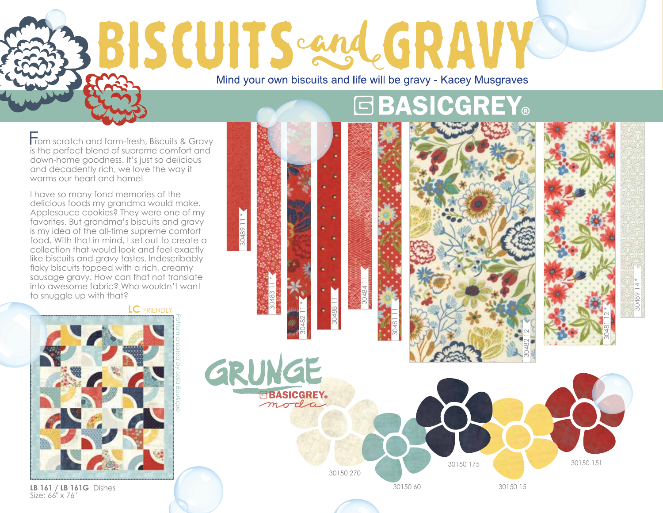# BISCUITS cand GRAV Mind your own biscuits and life will be gravy - Kacey Musgraves

30489 11 \*

rom scratch and farm-fresh, Biscuits & Gravy is the perfect blend of supreme comfort and down-home goodness. It's just so delicious and decadently rich, we love the way it warms our heart and home!

I have so many fond memories of the delicious foods my grandma would make. Applesauce cookies? They were one of my favorites. But grandma's biscuits and gravy is my idea of the all-time supreme comfort food. With that in mind, I set out to create a collection that would look and feel exactly like biscuits and gravy tastes. Indescribably flaky biscuits topped with a rich, creamy sausage gravy. How can that not translate into awesome fabric? Who wouldn't want to snuggle up with that?

30484 11

30488 11

30482 11 \*

**GBASICGREY** moda

30483 11 \*

# 30481 11

**GBASICGREY®** 



30150 151

30482 12

30489 14 \*



**LB 161 / LB 161G** Dishes Size: 66" x 76"

## 30150 270 30150 60 30150 175 30150 15